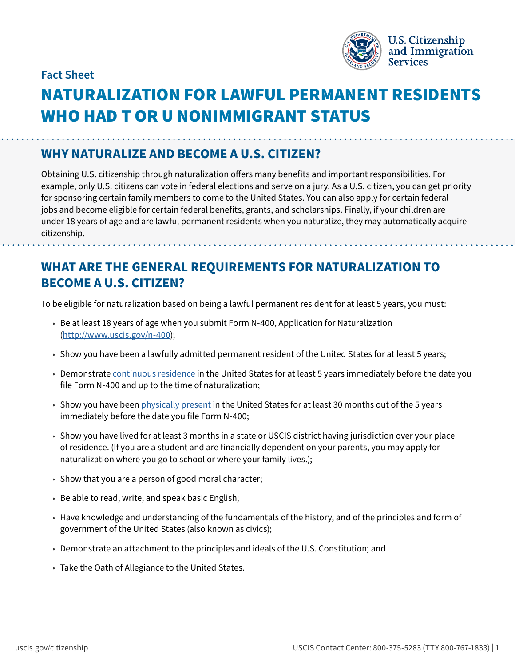

**Fact Sheet**

# NATURALIZATION FOR LAWFUL PERMANENT RESIDENTS WHO HAD T OR U NONIMMIGRANT STATUS

#### **WHY NATURALIZE AND BECOME A U.S. CITIZEN?**

Obtaining U.S. citizenship through naturalization offers many benefits and important responsibilities. For example, only U.S. citizens can vote in federal elections and serve on a jury. As a U.S. citizen, you can get priority for sponsoring certain family members to come to the United States. You can also apply for certain federal jobs and become eligible for certain federal benefits, grants, and scholarships. Finally, if your children are under 18 years of age and are lawful permanent residents when you naturalize, they may automatically acquire citizenship.

## **WHAT ARE THE GENERAL REQUIREMENTS FOR NATURALIZATION TO BECOME A U.S. CITIZEN?**

To be eligible for naturalization based on being a lawful permanent resident for at least 5 years, you must:

- Be at least 18 years of age when you submit Form N-400, Application for Naturalization (<http://www.uscis.gov/n-400>);
- Show you have been a lawfully admitted permanent resident of the United States for at least 5 years;
- Demonstrate [continuous residence](https://www.uscis.gov/policy-manual/volume-12-part-d-chapter-3) in the United States for at least 5 years immediately before the date you file Form N-400 and up to the time of naturalization;
- Show you have been [physically present](https://www.uscis.gov/policy-manual/volume-12-part-d-chapter-4) in the United States for at least 30 months out of the 5 years immediately before the date you file Form N-400;
- Show you have lived for at least 3 months in a state or USCIS district having jurisdiction over your place of residence. (If you are a student and are financially dependent on your parents, you may apply for naturalization where you go to school or where your family lives.);
- Show that you are a person of good moral character;
- Be able to read, write, and speak basic English;
- Have knowledge and understanding of the fundamentals of the history, and of the principles and form of government of the United States (also known as civics);
- Demonstrate an attachment to the principles and ideals of the U.S. Constitution; and
- Take the Oath of Allegiance to the United States.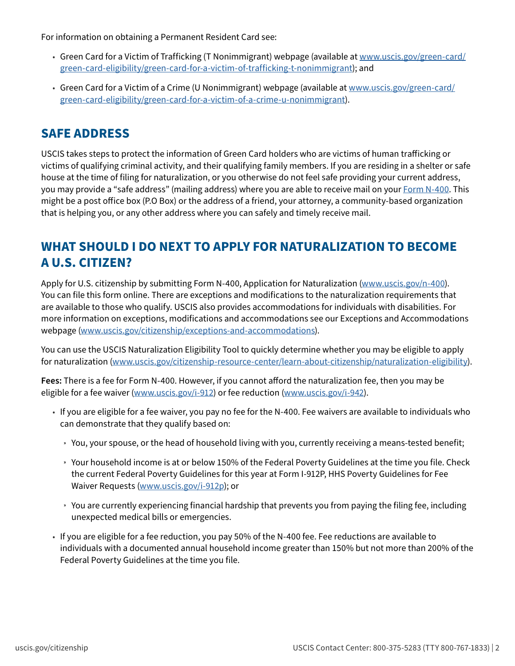For information on obtaining a Permanent Resident Card see:

- Green Card for a Victim of Trafficking (T Nonimmigrant) webpage (available at [www.uscis.gov/green-card/](http://www.uscis.gov/green-card/green-card-eligibility/green-card-for-a-victim-of-trafficking-t-nonimmigrant) [green-card-eligibility/green-card-for-a-victim-of-trafficking-t-nonimmigrant\)](http://www.uscis.gov/green-card/green-card-eligibility/green-card-for-a-victim-of-trafficking-t-nonimmigrant); and
- Green Card for a Victim of a Crime (U Nonimmigrant) webpage (available at [www.uscis.gov/green-card/](http://www.uscis.gov/green-card/green-card-eligibility/green-card-for-a-victim-of-a-crime-u-nonimmigrant) [green-card-eligibility/green-card-for-a-victim-of-a-crime-u-nonimmigrant](http://www.uscis.gov/green-card/green-card-eligibility/green-card-for-a-victim-of-a-crime-u-nonimmigrant)).

#### **SAFE ADDRESS**

USCIS takes steps to protect the information of Green Card holders who are victims of human trafficking or victims of qualifying criminal activity, and their qualifying family members. If you are residing in a shelter or safe house at the time of filing for naturalization, or you otherwise do not feel safe providing your current address, you may provide a "safe address" (mailing address) where you are able to receive mail on your [Form N-400.](https://www.uscis.gov/n-400) This might be a post office box (P.O Box) or the address of a friend, your attorney, a community-based organization that is helping you, or any other address where you can safely and timely receive mail.

### **WHAT SHOULD I DO NEXT TO APPLY FOR NATURALIZATION TO BECOME A U.S. CITIZEN?**

Apply for U.S. citizenship by submitting Form N-400, Application for Naturalization [\(www.uscis.gov/n-400\)](http://www.uscis.gov/n-400). You can file this form online. There are exceptions and modifications to the naturalization requirements that are available to those who qualify. USCIS also provides accommodations for individuals with disabilities. For more information on exceptions, modifications and accommodations see our Exceptions and Accommodations webpage [\(www.uscis.gov/citizenship/exceptions-and-accommodations](http://www.uscis.gov/citizenship/exceptions-and-accommodations)).

You can use the USCIS Naturalization Eligibility Tool to quickly determine whether you may be eligible to apply for naturalization [\(www.uscis.gov/citizenship-resource-center/learn-about-citizenship/naturalization-eligibility\)](http://www.uscis.gov/citizenship-resource-center/learn-about-citizenship/naturalization-eligibility).

**Fees:** There is a fee for Form N-400. However, if you cannot afford the naturalization fee, then you may be eligible for a fee waiver [\(www.uscis.gov/i-912\)](http://www.uscis.gov/i-912) or fee reduction [\(www.uscis.gov/i-942\)](http://www.uscis.gov/i-942).

- If you are eligible for a fee waiver, you pay no fee for the N-400. Fee waivers are available to individuals who can demonstrate that they qualify based on:
	- » You, your spouse, or the head of household living with you, currently receiving a means-tested benefit;
	- » Your household income is at or below 150% of the Federal Poverty Guidelines at the time you file. Check the current Federal Poverty Guidelines for this year at Form I-912P, HHS Poverty Guidelines for Fee Waiver Requests [\(www.uscis.gov/i-912p](http://www.uscis.gov/i-912p)); or
	- » You are currently experiencing financial hardship that prevents you from paying the filing fee, including unexpected medical bills or emergencies.
- If you are eligible for a fee reduction, you pay 50% of the N-400 fee. Fee reductions are available to individuals with a documented annual household income greater than 150% but not more than 200% of the Federal Poverty Guidelines at the time you file.